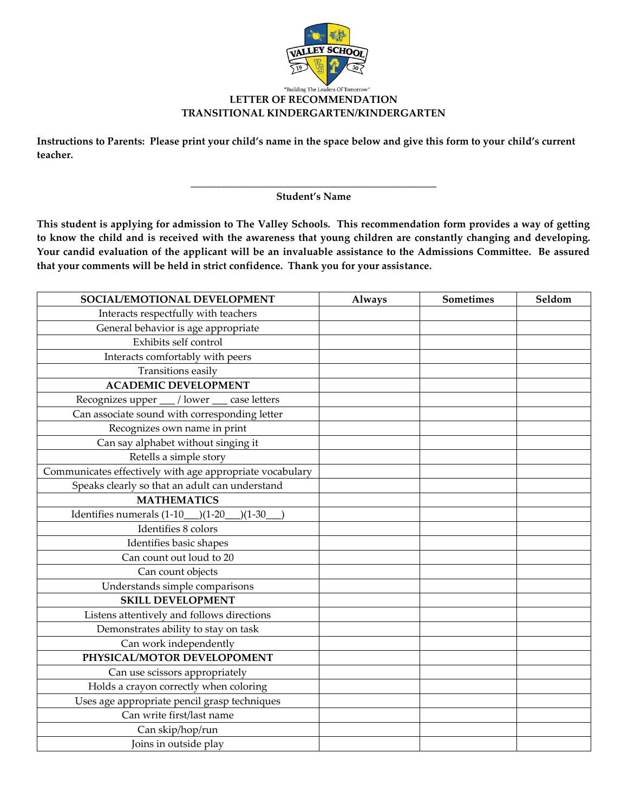

## **LETTER OF RECOMMENDATION TRANSITIONAL KINDERGARTEN/KINDERGARTEN**

**Instructions to Parents: Please print your child's name in the space below and give this form to your child's current teacher.**

> **\_\_\_\_\_\_\_\_\_\_\_\_\_\_\_\_\_\_\_\_\_\_\_\_\_\_\_\_\_\_\_\_\_\_\_\_\_\_\_\_\_\_\_\_\_\_\_\_ Student's Name**

**This student is applying for admission to The Valley Schools. This recommendation form provides a way of getting to know the child and is received with the awareness that young children are constantly changing and developing. Your candid evaluation of the applicant will be an invaluable assistance to the Admissions Committee. Be assured that your comments will be held in strict confidence. Thank you for your assistance.** 

| SOCIAL/EMOTIONAL DEVELOPMENT                             | <b>Always</b> | Sometimes | Seldom |
|----------------------------------------------------------|---------------|-----------|--------|
| Interacts respectfully with teachers                     |               |           |        |
| General behavior is age appropriate                      |               |           |        |
| Exhibits self control                                    |               |           |        |
| Interacts comfortably with peers                         |               |           |        |
| Transitions easily                                       |               |           |        |
| <b>ACADEMIC DEVELOPMENT</b>                              |               |           |        |
| Recognizes upper __ / lower<br>case letters              |               |           |        |
| Can associate sound with corresponding letter            |               |           |        |
| Recognizes own name in print                             |               |           |        |
| Can say alphabet without singing it                      |               |           |        |
| Retells a simple story                                   |               |           |        |
| Communicates effectively with age appropriate vocabulary |               |           |        |
| Speaks clearly so that an adult can understand           |               |           |        |
| <b>MATHEMATICS</b>                                       |               |           |        |
| Identifies numerals (1-10<br>$(1-20)$<br>$)(1-30)$       |               |           |        |
| Identifies 8 colors                                      |               |           |        |
| Identifies basic shapes                                  |               |           |        |
| Can count out loud to 20                                 |               |           |        |
| Can count objects                                        |               |           |        |
| Understands simple comparisons                           |               |           |        |
| <b>SKILL DEVELOPMENT</b>                                 |               |           |        |
| Listens attentively and follows directions               |               |           |        |
| Demonstrates ability to stay on task                     |               |           |        |
| Can work independently                                   |               |           |        |
| PHYSICAL/MOTOR DEVELOPOMENT                              |               |           |        |
| Can use scissors appropriately                           |               |           |        |
| Holds a crayon correctly when coloring                   |               |           |        |
| Uses age appropriate pencil grasp techniques             |               |           |        |
| Can write first/last name                                |               |           |        |
| Can skip/hop/run                                         |               |           |        |
| Joins in outside play                                    |               |           |        |